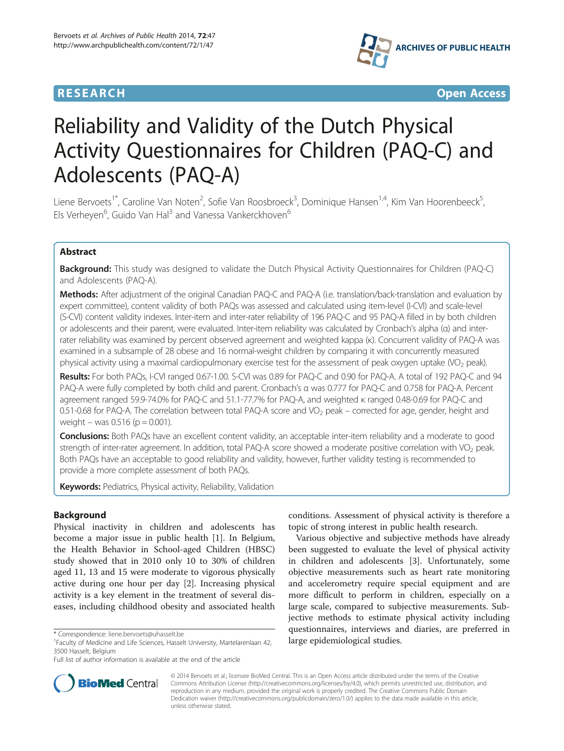

**RESEARCH CHINESE ARCH CHINESE ARCH CHINESE ARCH <b>CHINESE ARCH CHINESE ARCH CHINESE ARCH <b>CHINESE** ARCH **CHINESE ARCH** CHINESE ARCH **CHINESE ARCH 2014** 

# Reliability and Validity of the Dutch Physical Activity Questionnaires for Children (PAQ-C) and Adolescents (PAQ-A)

Liene Bervoets<sup>1\*</sup>, Caroline Van Noten<sup>2</sup>, Sofie Van Roosbroeck<sup>3</sup>, Dominique Hansen<sup>1,4</sup>, Kim Van Hoorenbeeck<sup>5</sup> , Els Verheyen<sup>6</sup>, Guido Van Hal<sup>3</sup> and Vanessa Vankerckhoven<sup>6</sup>

# Abstract

Background: This study was designed to validate the Dutch Physical Activity Questionnaires for Children (PAQ-C) and Adolescents (PAQ-A).

Methods: After adjustment of the original Canadian PAQ-C and PAQ-A (i.e. translation/back-translation and evaluation by expert committee), content validity of both PAQs was assessed and calculated using item-level (I-CVI) and scale-level (S-CVI) content validity indexes. Inter-item and inter-rater reliability of 196 PAQ-C and 95 PAQ-A filled in by both children or adolescents and their parent, were evaluated. Inter-item reliability was calculated by Cronbach's alpha (α) and interrater reliability was examined by percent observed agreement and weighted kappa (κ). Concurrent validity of PAQ-A was examined in a subsample of 28 obese and 16 normal-weight children by comparing it with concurrently measured physical activity using a maximal cardiopulmonary exercise test for the assessment of peak oxygen uptake (VO<sub>2</sub> peak).

Results: For both PAQs, I-CVI ranged 0.67-1.00. S-CVI was 0.89 for PAQ-C and 0.90 for PAQ-A. A total of 192 PAQ-C and 94 PAQ-A were fully completed by both child and parent. Cronbach's α was 0.777 for PAQ-C and 0.758 for PAQ-A. Percent agreement ranged 59.9-74.0% for PAQ-C and 51.1-77.7% for PAQ-A, and weighted κ ranged 0.48-0.69 for PAQ-C and 0.51-0.68 for PAQ-A. The correlation between total PAQ-A score and VO<sub>2</sub> peak – corrected for age, gender, height and weight – was  $0.516$  (p = 0.001).

Conclusions: Both PAQs have an excellent content validity, an acceptable inter-item reliability and a moderate to good strength of inter-rater agreement. In addition, total PAQ-A score showed a moderate positive correlation with  $VO<sub>2</sub>$  peak. Both PAQs have an acceptable to good reliability and validity, however, further validity testing is recommended to provide a more complete assessment of both PAQs.

**Keywords:** Pediatrics, Physical activity, Reliability, Validation

# Background

Physical inactivity in children and adolescents has become a major issue in public health [[1](#page-6-0)]. In Belgium, the Health Behavior in School-aged Children (HBSC) study showed that in 2010 only 10 to 30% of children aged 11, 13 and 15 were moderate to vigorous physically active during one hour per day [\[2](#page-6-0)]. Increasing physical activity is a key element in the treatment of several diseases, including childhood obesity and associated health



Various objective and subjective methods have already been suggested to evaluate the level of physical activity in children and adolescents [[3](#page-6-0)]. Unfortunately, some objective measurements such as heart rate monitoring and accelerometry require special equipment and are more difficult to perform in children, especially on a large scale, compared to subjective measurements. Subjective methods to estimate physical activity including questionnaires, interviews and diaries, are preferred in



© 2014 Bervoets et al.; licensee BioMed Central. This is an Open Access article distributed under the terms of the Creative Commons Attribution License [\(http://creativecommons.org/licenses/by/4.0\)](http://creativecommons.org/licenses/by/4.0), which permits unrestricted use, distribution, and reproduction in any medium, provided the original work is properly credited. The Creative Commons Public Domain Dedication waiver [\(http://creativecommons.org/publicdomain/zero/1.0/](http://creativecommons.org/publicdomain/zero/1.0/)) applies to the data made available in this article, unless otherwise stated.

<sup>\*</sup> Correspondence: [liene.bervoets@uhasselt.be](mailto:liene.bervoets@uhasselt.be)<br><sup>1</sup>Faculty of Medicine and Life Sciences, Hasselt University, Martelarenlaan 42, **large epidemiological studies.** 3500 Hasselt, Belgium

Full list of author information is available at the end of the article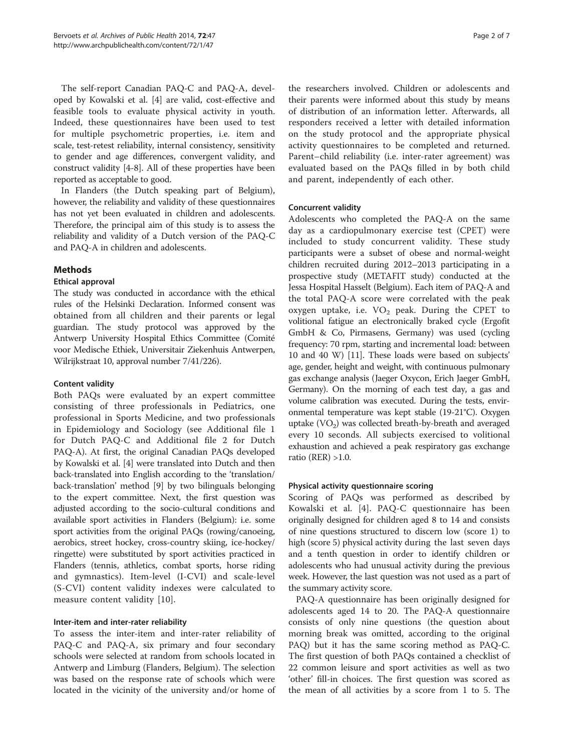The self-report Canadian PAQ-C and PAQ-A, developed by Kowalski et al. [\[4](#page-6-0)] are valid, cost-effective and feasible tools to evaluate physical activity in youth. Indeed, these questionnaires have been used to test for multiple psychometric properties, i.e. item and scale, test-retest reliability, internal consistency, sensitivity to gender and age differences, convergent validity, and construct validity [\[4-8](#page-6-0)]. All of these properties have been reported as acceptable to good.

In Flanders (the Dutch speaking part of Belgium), however, the reliability and validity of these questionnaires has not yet been evaluated in children and adolescents. Therefore, the principal aim of this study is to assess the reliability and validity of a Dutch version of the PAQ-C and PAQ-A in children and adolescents.

# Methods

# Ethical approval

The study was conducted in accordance with the ethical rules of the Helsinki Declaration. Informed consent was obtained from all children and their parents or legal guardian. The study protocol was approved by the Antwerp University Hospital Ethics Committee (Comité voor Medische Ethiek, Universitair Ziekenhuis Antwerpen, Wilrijkstraat 10, approval number 7/41/226).

#### Content validity

Both PAQs were evaluated by an expert committee consisting of three professionals in Pediatrics, one professional in Sports Medicine, and two professionals in Epidemiology and Sociology (see Additional file [1](#page-5-0) for Dutch PAQ-C and Additional file [2](#page-5-0) for Dutch PAQ-A). At first, the original Canadian PAQs developed by Kowalski et al. [\[4](#page-6-0)] were translated into Dutch and then back-translated into English according to the 'translation/ back-translation' method [\[9\]](#page-6-0) by two bilinguals belonging to the expert committee. Next, the first question was adjusted according to the socio-cultural conditions and available sport activities in Flanders (Belgium): i.e. some sport activities from the original PAQs (rowing/canoeing, aerobics, street hockey, cross-country skiing, ice-hockey/ ringette) were substituted by sport activities practiced in Flanders (tennis, athletics, combat sports, horse riding and gymnastics). Item-level (I-CVI) and scale-level (S-CVI) content validity indexes were calculated to measure content validity [[10\]](#page-6-0).

#### Inter-item and inter-rater reliability

To assess the inter-item and inter-rater reliability of PAQ-C and PAQ-A, six primary and four secondary schools were selected at random from schools located in Antwerp and Limburg (Flanders, Belgium). The selection was based on the response rate of schools which were located in the vicinity of the university and/or home of the researchers involved. Children or adolescents and their parents were informed about this study by means of distribution of an information letter. Afterwards, all responders received a letter with detailed information on the study protocol and the appropriate physical activity questionnaires to be completed and returned. Parent–child reliability (i.e. inter-rater agreement) was evaluated based on the PAQs filled in by both child and parent, independently of each other.

# Concurrent validity

Adolescents who completed the PAQ-A on the same day as a cardiopulmonary exercise test (CPET) were included to study concurrent validity. These study participants were a subset of obese and normal-weight children recruited during 2012–2013 participating in a prospective study (METAFIT study) conducted at the Jessa Hospital Hasselt (Belgium). Each item of PAQ-A and the total PAQ-A score were correlated with the peak oxygen uptake, i.e.  $VO<sub>2</sub>$  peak. During the CPET to volitional fatigue an electronically braked cycle (Ergofit GmbH & Co, Pirmasens, Germany) was used (cycling frequency: 70 rpm, starting and incremental load: between 10 and 40 W) [\[11\]](#page-6-0). These loads were based on subjects' age, gender, height and weight, with continuous pulmonary gas exchange analysis (Jaeger Oxycon, Erich Jaeger GmbH, Germany). On the morning of each test day, a gas and volume calibration was executed. During the tests, environmental temperature was kept stable (19-21°C). Oxygen uptake  $(VO<sub>2</sub>)$  was collected breath-by-breath and averaged every 10 seconds. All subjects exercised to volitional exhaustion and achieved a peak respiratory gas exchange ratio (RER) >1.0.

# Physical activity questionnaire scoring

Scoring of PAQs was performed as described by Kowalski et al. [[4\]](#page-6-0). PAQ-C questionnaire has been originally designed for children aged 8 to 14 and consists of nine questions structured to discern low (score 1) to high (score 5) physical activity during the last seven days and a tenth question in order to identify children or adolescents who had unusual activity during the previous week. However, the last question was not used as a part of the summary activity score.

PAQ-A questionnaire has been originally designed for adolescents aged 14 to 20. The PAQ-A questionnaire consists of only nine questions (the question about morning break was omitted, according to the original PAQ) but it has the same scoring method as PAQ-C. The first question of both PAQs contained a checklist of 22 common leisure and sport activities as well as two 'other' fill-in choices. The first question was scored as the mean of all activities by a score from 1 to 5. The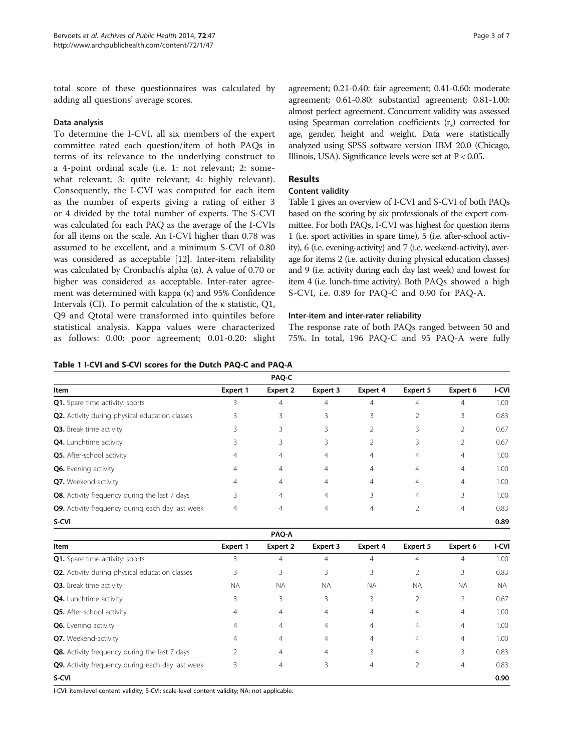total score of these questionnaires was calculated by adding all questions' average scores.

#### Data analysis

To determine the I-CVI, all six members of the expert committee rated each question/item of both PAQs in terms of its relevance to the underlying construct to a 4-point ordinal scale (i.e. 1: not relevant; 2: somewhat relevant; 3: quite relevant; 4: highly relevant). Consequently, the I-CVI was computed for each item as the number of experts giving a rating of either 3 or 4 divided by the total number of experts. The S-CVI was calculated for each PAQ as the average of the I-CVIs for all items on the scale. An I-CVI higher than 0.78 was assumed to be excellent, and a minimum S-CVI of 0.80 was considered as acceptable [[12\]](#page-6-0). Inter-item reliability was calculated by Cronbach's alpha (α). A value of 0.70 or higher was considered as acceptable. Inter-rater agreement was determined with kappa (κ) and 95% Confidence Intervals (CI). To permit calculation of the κ statistic, Q1, Q9 and Qtotal were transformed into quintiles before statistical analysis. Kappa values were characterized as follows: 0.00: poor agreement; 0.01-0.20: slight agreement; 0.21-0.40: fair agreement; 0.41-0.60: moderate agreement; 0.61-0.80: substantial agreement; 0.81-1.00: almost perfect agreement. Concurrent validity was assessed using Spearman correlation coefficients  $(r<sub>s</sub>)$  corrected for age, gender, height and weight. Data were statistically analyzed using SPSS software version IBM 20.0 (Chicago, Illinois, USA). Significance levels were set at  $P < 0.05$ .

# Results

# Content validity

Table 1 gives an overview of I-CVI and S-CVI of both PAQs based on the scoring by six professionals of the expert committee. For both PAQs, I-CVI was highest for question items 1 (i.e. sport activities in spare time), 5 (i.e. after-school activity), 6 (i.e. evening-activity) and 7 (i.e. weekend-activity), average for items 2 (i.e. activity during physical education classes) and 9 (i.e. activity during each day last week) and lowest for item 4 (i.e. lunch-time activity). Both PAQs showed a high S-CVI, i.e. 0.89 for PAQ-C and 0.90 for PAQ-A.

# Inter-item and inter-rater reliability

The response rate of both PAQs ranged between 50 and 75%. In total, 196 PAQ-C and 95 PAQ-A were fully

|  |  |  |  |  |  |  |  |  |  |  | Table 1 I-CVI and S-CVI scores for the Dutch PAQ-C and PAQ-A |
|--|--|--|--|--|--|--|--|--|--|--|--------------------------------------------------------------|
|--|--|--|--|--|--|--|--|--|--|--|--------------------------------------------------------------|

|                                                  |          | PAQ-C    |                |                 |                |                |              |
|--------------------------------------------------|----------|----------|----------------|-----------------|----------------|----------------|--------------|
| Item                                             | Expert 1 | Expert 2 | Expert 3       | <b>Expert 4</b> | Expert 5       | Expert 6       | <b>I-CVI</b> |
| <b>Q1.</b> Spare time activity: sports           | 3        | 4        | $\overline{4}$ | 4               | 4              | 4              | 1.00         |
| Q2. Activity during physical education classes   | 3        | 3        | 3              | 3               | 2              | 3              | 0.83         |
| Q3. Break time activity                          | 3        | 3        | 3              | 2               | 3              |                | 0.67         |
| Q4. Lunchtime activity                           | 3        | 3        | 3              |                 | 3              | 2              | 0.67         |
| Q5. After-school activity                        | 4        | 4        | 4              | 4               | $\overline{4}$ | 4              | 1.00         |
| <b>Q6.</b> Evening activity                      | 4        | 4        | 4              | 4               | 4              | 4              | 1.00         |
| Q7. Weekend-activity                             | 4        | 4        | $\overline{4}$ | 4               | $\overline{4}$ | 4              | 1.00         |
| Q8. Activity frequency during the last 7 days    | 3        | 4        | 4              | 3               | 4              | 3              | 1.00         |
| Q9. Activity frequency during each day last week |          | 4        | $\overline{4}$ | 4               | 2              | $\overline{4}$ | 0.83         |
| S-CVI                                            |          |          |                |                 |                |                | 0.89         |

|                                                       |           | <b>PAQ-A</b>   |                |                |           |                |              |
|-------------------------------------------------------|-----------|----------------|----------------|----------------|-----------|----------------|--------------|
| Item                                                  | Expert 1  | Expert 2       | Expert 3       | Expert 4       | Expert 5  | Expert 6       | <b>I-CVI</b> |
| <b>Q1.</b> Spare time activity: sports                | 3         | 4              | 4              | $\overline{4}$ | 4         | 4              | 1.00         |
| <b>Q2.</b> Activity during physical education classes | 3         | 3              | 3              | 3              | 2         | 3              | 0.83         |
| Q3. Break time activity                               | <b>NA</b> | <b>NA</b>      | <b>NA</b>      | <b>NA</b>      | <b>NA</b> | <b>NA</b>      | NA.          |
| Q4. Lunchtime activity                                | 3         | 3              | 3              | 3              | 2         | 2              | 0.67         |
| Q5. After-school activity                             | 4         | $\overline{4}$ | $\overline{4}$ | $\overline{4}$ | 4         | $\overline{4}$ | 1.00         |
| <b>Q6.</b> Evening activity                           | 4         | 4              | $\overline{4}$ | $\overline{4}$ | 4         | $\overline{4}$ | 1.00         |
| Q7. Weekend-activity                                  | 4         | 4              | 4              | $\overline{4}$ | 4         | 4              | 1.00         |
| Q8. Activity frequency during the last 7 days         |           | $\overline{4}$ | $\overline{4}$ | 3              | 4         | 3              | 0.83         |
| Q9. Activity frequency during each day last week      | 3         | 4              | 3              | $\overline{4}$ | 2         | $\overline{4}$ | 0.83         |
| S-CVI                                                 |           |                |                |                |           |                | 0.90         |

I-CVI: item-level content validity; S-CVI: scale-level content validity; NA: not applicable.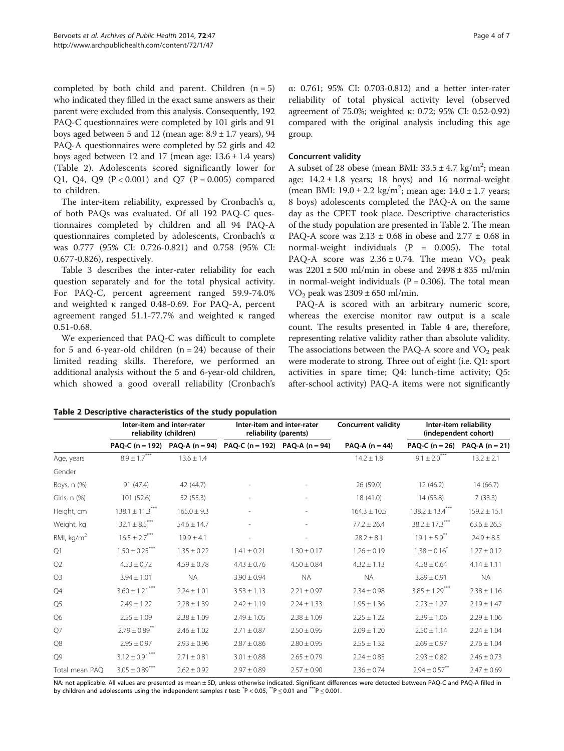<span id="page-3-0"></span>completed by both child and parent. Children  $(n = 5)$ who indicated they filled in the exact same answers as their parent were excluded from this analysis. Consequently, 192 PAQ-C questionnaires were completed by 101 girls and 91 boys aged between 5 and 12 (mean age:  $8.9 \pm 1.7$  years), 94 PAQ-A questionnaires were completed by 52 girls and 42 boys aged between 12 and 17 (mean age:  $13.6 \pm 1.4$  years) (Table 2). Adolescents scored significantly lower for Q1, Q4, Q9 ( $P < 0.001$ ) and Q7 ( $P = 0.005$ ) compared to children.

The inter-item reliability, expressed by Cronbach's  $\alpha$ , of both PAQs was evaluated. Of all 192 PAQ-C questionnaires completed by children and all 94 PAQ-A questionnaires completed by adolescents, Cronbach's α was 0.777 (95% CI: 0.726-0.821) and 0.758 (95% CI: 0.677-0.826), respectively.

Table [3](#page-4-0) describes the inter-rater reliability for each question separately and for the total physical activity. For PAQ-C, percent agreement ranged 59.9-74.0% and weighted κ ranged 0.48-0.69. For PAQ-A, percent agreement ranged 51.1-77.7% and weighted κ ranged 0.51-0.68.

We experienced that PAQ-C was difficult to complete for 5 and 6-year-old children  $(n = 24)$  because of their limited reading skills. Therefore, we performed an additional analysis without the 5 and 6-year-old children, which showed a good overall reliability (Cronbach's α: 0.761; 95% CI: 0.703-0.812) and a better inter-rater reliability of total physical activity level (observed agreement of 75.0%; weighted κ: 0.72; 95% CI: 0.52-0.92) compared with the original analysis including this age group.

# Concurrent validity

A subset of 28 obese (mean BMI:  $33.5 \pm 4.7$  kg/m<sup>2</sup>; mean age:  $14.2 \pm 1.8$  years; 18 boys) and 16 normal-weight (mean BMI:  $19.0 \pm 2.2$  kg/m<sup>2</sup>; mean age:  $14.0 \pm 1.7$  years; 8 boys) adolescents completed the PAQ-A on the same day as the CPET took place. Descriptive characteristics of the study population are presented in Table 2. The mean PAQ-A score was  $2.13 \pm 0.68$  in obese and  $2.77 \pm 0.68$  in normal-weight individuals  $(P = 0.005)$ . The total PAQ-A score was  $2.36 \pm 0.74$ . The mean VO<sub>2</sub> peak was 2201 ± 500 ml/min in obese and 2498 ± 835 ml/min in normal-weight individuals  $(P = 0.306)$ . The total mean VO<sub>2</sub> peak was  $2309 \pm 650$  ml/min.

PAQ-A is scored with an arbitrary numeric score, whereas the exercise monitor raw output is a scale count. The results presented in Table [4](#page-4-0) are, therefore, representing relative validity rather than absolute validity. The associations between the PAQ-A score and  $VO<sub>2</sub>$  peak were moderate to strong. Three out of eight (i.e. Q1: sport activities in spare time; Q4: lunch-time activity; Q5: after-school activity) PAQ-A items were not significantly

Table 2 Descriptive characteristics of the study population

|                        | Inter-item and inter-rater<br>reliability (children) |                 | Inter-item and inter-rater<br>reliability (parents) |                 | <b>Concurrent validity</b> | Inter-item reliability<br>(independent cohort) |                                       |  |
|------------------------|------------------------------------------------------|-----------------|-----------------------------------------------------|-----------------|----------------------------|------------------------------------------------|---------------------------------------|--|
|                        | PAQ-C $(n = 192)$                                    | $PAQ-A (n=94)$  | PAQ-C ( $n = 192$ ) PAQ-A ( $n = 94$ )              |                 | PAQ-A $(n = 44)$           |                                                | PAQ-C ( $n = 26$ ) PAQ-A ( $n = 21$ ) |  |
| Age, years             | $8.9\pm1.7$ $^{***}$                                 | $13.6 \pm 1.4$  |                                                     |                 | $14.2 \pm 1.8$             | $9.1\pm2.0^{***}$                              | $13.2 \pm 2.1$                        |  |
| Gender                 |                                                      |                 |                                                     |                 |                            |                                                |                                       |  |
| Boys, n (%)            | 91 (47.4)                                            | 42 (44.7)       |                                                     |                 | 26 (59.0)                  | 12(46.2)                                       | 14(66.7)                              |  |
| Girls, n (%)           | 101 (52.6)                                           | 52 (55.3)       |                                                     |                 | 18 (41.0)                  | 14 (53.8)                                      | 7(33.3)                               |  |
| Height, cm             | $138.1 \pm 11.3***$                                  | $165.0 \pm 9.3$ |                                                     |                 | $164.3 \pm 10.5$           | $138.2 \pm 13.4***$                            | $159.2 \pm 15.1$                      |  |
| Weight, kg             | $32.1 \pm 8.5***$                                    | $54.6 \pm 14.7$ |                                                     |                 | $77.2 \pm 26.4$            | $38.2 \pm 17.3***$                             | $63.6 \pm 26.5$                       |  |
| BMI, kg/m <sup>2</sup> | $16.5 \pm 2.7***$                                    | $19.9 \pm 4.1$  |                                                     |                 | $28.2 \pm 8.1$             | $19.1 \pm 5.9$ <sup>**</sup>                   | $24.9 \pm 8.5$                        |  |
| Q1                     | $1.50 \pm 0.25***$                                   | $1.35 \pm 0.22$ | $1.41 \pm 0.21$                                     | $1.30 \pm 0.17$ | $1.26 \pm 0.19$            | $1.38 \pm 0.16^{7}$                            | $1.27 \pm 0.12$                       |  |
| Q2                     | $4.53 \pm 0.72$                                      | $4.59 \pm 0.78$ | $4.43 \pm 0.76$                                     | $4.50 \pm 0.84$ | $4.32 \pm 1.13$            | $4.58 \pm 0.64$                                | $4.14 \pm 1.11$                       |  |
| Q3                     | $3.94 \pm 1.01$                                      | <b>NA</b>       | $3.90 \pm 0.94$                                     | <b>NA</b>       | <b>NA</b>                  | $3.89 \pm 0.91$                                | <b>NA</b>                             |  |
| Q4                     | $3.60 \pm 1.21^{***}$                                | $2.24 \pm 1.01$ | $3.53 \pm 1.13$                                     | $2.21 \pm 0.97$ | $2.34 \pm 0.98$            | $3.85 \pm 1.29***$                             | $2.38 \pm 1.16$                       |  |
| Q <sub>5</sub>         | $2.49 \pm 1.22$                                      | $2.28 \pm 1.39$ | $2.42 \pm 1.19$                                     | $2.24 \pm 1.33$ | $1.95 \pm 1.36$            | $2.23 \pm 1.27$                                | $2.19 \pm 1.47$                       |  |
| Q <sub>6</sub>         | $2.55 \pm 1.09$                                      | $2.38 \pm 1.09$ | $2.49 \pm 1.05$                                     | $2.38 \pm 1.09$ | $2.25 \pm 1.22$            | $2.39 \pm 1.06$                                | $2.29 \pm 1.06$                       |  |
| Q7                     | $2.79 \pm 0.89$ **                                   | $2.46 \pm 1.02$ | $2.71 \pm 0.87$                                     | $2.50 \pm 0.95$ | $2.09 \pm 1.20$            | $2.50 \pm 1.14$                                | $2.24 \pm 1.04$                       |  |
| Q8                     | $2.95 \pm 0.97$                                      | $2.93 \pm 0.96$ | $2.87 \pm 0.86$                                     | $2.80 \pm 0.95$ | $2.55 \pm 1.32$            | $2.69 \pm 0.97$                                | $2.76 \pm 1.04$                       |  |
| Q9                     | $3.12 \pm 0.91***$                                   | $2.71 \pm 0.81$ | $3.01 \pm 0.88$                                     | $2.65 \pm 0.79$ | $2.24 \pm 0.85$            | $2.93 \pm 0.82$                                | $2.46 \pm 0.73$                       |  |
| Total mean PAO         | $3.05 \pm 0.89^{***}$                                | $2.62 \pm 0.92$ | $2.97 \pm 0.89$                                     | $2.57 \pm 0.90$ | $2.36 \pm 0.74$            | $2.94 \pm 0.57$ <sup>**</sup>                  | $2.47 \pm 0.69$                       |  |

NA: not applicable. All values are presented as mean ± SD, unless otherwise indicated. Significant differences were detected between PAQ-C and PAQ-A filled in by children and adolescents using the independent samples t test:  $^{*}P < 0.05$ ,  $^{**}P \le 0.01$  and  $^{***}P \le 0.001$ .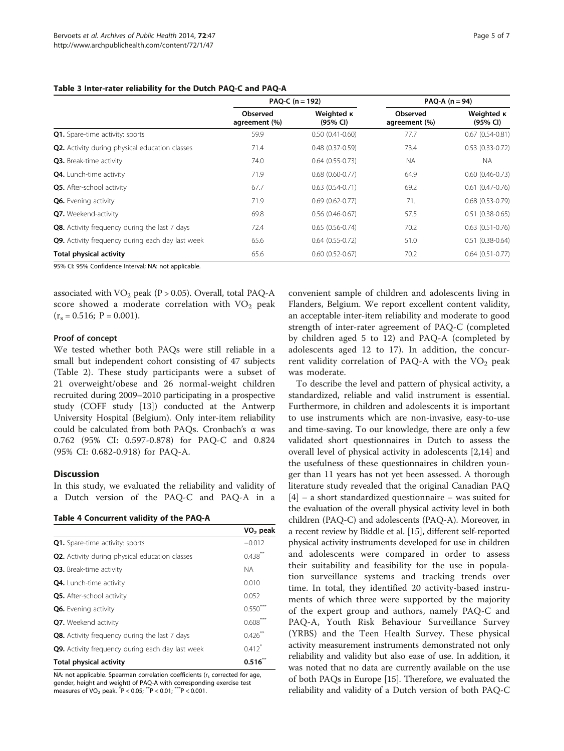#### <span id="page-4-0"></span>Table 3 Inter-rater reliability for the Dutch PAQ-C and PAQ-A

|                                                       | PAQ-C $(n = 192)$                |                               | $PAQ-A (n=94)$            |                               |  |
|-------------------------------------------------------|----------------------------------|-------------------------------|---------------------------|-------------------------------|--|
|                                                       | <b>Observed</b><br>agreement (%) | Weighted <b>K</b><br>(95% CI) | Observed<br>agreement (%) | Weighted <b>K</b><br>(95% CI) |  |
| <b>Q1.</b> Spare-time activity: sports                | 59.9                             | $0.50(0.41 - 0.60)$           | 77.7                      | $0.67$ $(0.54 - 0.81)$        |  |
| <b>Q2.</b> Activity during physical education classes | 71.4                             | $0.48(0.37-0.59)$             | 73.4                      | $0.53(0.33-0.72)$             |  |
| Q3. Break-time activity                               | 74.0                             | $0.64(0.55-0.73)$             | NA.                       | <b>NA</b>                     |  |
| <b>Q4.</b> Lunch-time activity                        | 71.9                             | $0.68$ $(0.60 - 0.77)$        | 64.9                      | $0.60$ $(0.46 - 0.73)$        |  |
| Q5. After-school activity                             | 67.7                             | $0.63(0.54-0.71)$             | 69.2                      | $0.61$ $(0.47 - 0.76)$        |  |
| Q6. Evening activity                                  | 71.9                             | $0.69(0.62 - 0.77)$           | 71.                       | $0.68$ $(0.53 - 0.79)$        |  |
| Q7. Weekend-activity                                  | 69.8                             | $0.56(0.46-0.67)$             | 57.5                      | $0.51$ $(0.38 - 0.65)$        |  |
| Q8. Activity frequency during the last 7 days         | 72.4                             | $0.65(0.56-0.74)$             | 70.2                      | $0.63$ $(0.51 - 0.76)$        |  |
| Q9. Activity frequency during each day last week      | 65.6                             | $0.64(0.55-0.72)$             | 51.0                      | $0.51(0.38-0.64)$             |  |
| Total physical activity                               | 65.6                             | $0.60(0.52 - 0.67)$           | 70.2                      | $0.64$ $(0.51 - 0.77)$        |  |

95% CI: 95% Confidence Interval; NA: not applicable.

associated with  $VO<sub>2</sub>$  peak (P > 0.05). Overall, total PAQ-A score showed a moderate correlation with  $VO<sub>2</sub>$  peak  $(r_s = 0.516; P = 0.001).$ 

#### Proof of concept

We tested whether both PAQs were still reliable in a small but independent cohort consisting of 47 subjects (Table [2\)](#page-3-0). These study participants were a subset of 21 overweight/obese and 26 normal-weight children recruited during 2009–2010 participating in a prospective study (COFF study [\[13\]](#page-6-0)) conducted at the Antwerp University Hospital (Belgium). Only inter-item reliability could be calculated from both PAQs. Cronbach's α was 0.762 (95% CI: 0.597-0.878) for PAQ-C and 0.824 (95% CI: 0.682-0.918) for PAQ-A.

# **Discussion**

In this study, we evaluated the reliability and validity of a Dutch version of the PAQ-C and PAQ-A in a

Table 4 Concurrent validity of the PAQ-A

|                                                       | $VO2$ peak           |
|-------------------------------------------------------|----------------------|
| <b>Q1.</b> Spare-time activity: sports                | $-0.012$             |
| <b>Q2.</b> Activity during physical education classes | $0.438$ **           |
| Q3. Break-time activity                               | <b>NA</b>            |
| <b>Q4.</b> Lunch-time activity                        | 0.010                |
| <b>Q5.</b> After-school activity                      | 0.052                |
| <b>Q6.</b> Evening activity                           | $0.550***$           |
| Q7. Weekend activity                                  | $0.608^{m}$          |
| Q8. Activity frequency during the last 7 days         | $0.426***$           |
| Q9. Activity frequency during each day last week      | $0.412$ <sup>*</sup> |
| <b>Total physical activity</b>                        | 0.516                |

NA: not applicable. Spearman correlation coefficients ( $r_s$  corrected for age, gender, height and weight) of PAQ-A with corresponding exercise test measures of  $VO_2$  peak.  $\bar{P}$  < 0.05;  $\bar{P}$  < 0.01;  $\bar{P}$  < 0.001.

convenient sample of children and adolescents living in Flanders, Belgium. We report excellent content validity, an acceptable inter-item reliability and moderate to good strength of inter-rater agreement of PAQ-C (completed by children aged 5 to 12) and PAQ-A (completed by adolescents aged 12 to 17). In addition, the concurrent validity correlation of PAQ-A with the  $VO<sub>2</sub>$  peak was moderate.

To describe the level and pattern of physical activity, a standardized, reliable and valid instrument is essential. Furthermore, in children and adolescents it is important to use instruments which are non-invasive, easy-to-use and time-saving. To our knowledge, there are only a few validated short questionnaires in Dutch to assess the overall level of physical activity in adolescents [\[2,14](#page-6-0)] and the usefulness of these questionnaires in children younger than 11 years has not yet been assessed. A thorough literature study revealed that the original Canadian PAQ [[4\]](#page-6-0) – a short standardized questionnaire – was suited for the evaluation of the overall physical activity level in both children (PAQ-C) and adolescents (PAQ-A). Moreover, in a recent review by Biddle et al. [\[15](#page-6-0)], different self-reported physical activity instruments developed for use in children and adolescents were compared in order to assess their suitability and feasibility for the use in population surveillance systems and tracking trends over time. In total, they identified 20 activity-based instruments of which three were supported by the majority of the expert group and authors, namely PAQ-C and PAQ-A, Youth Risk Behaviour Surveillance Survey (YRBS) and the Teen Health Survey. These physical activity measurement instruments demonstrated not only reliability and validity but also ease of use. In addition, it was noted that no data are currently available on the use of both PAQs in Europe [[15](#page-6-0)]. Therefore, we evaluated the reliability and validity of a Dutch version of both PAQ-C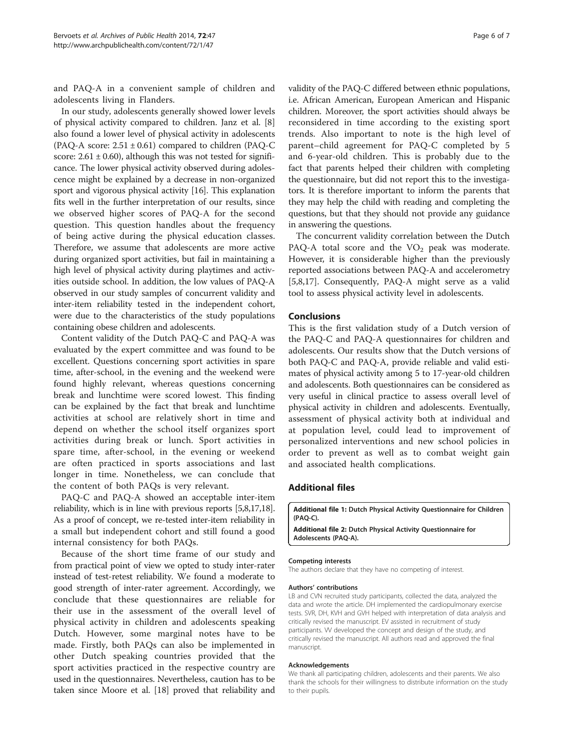<span id="page-5-0"></span>and PAQ-A in a convenient sample of children and adolescents living in Flanders.

In our study, adolescents generally showed lower levels of physical activity compared to children. Janz et al. [[8](#page-6-0)] also found a lower level of physical activity in adolescents (PAQ-A score:  $2.51 \pm 0.61$ ) compared to children (PAQ-C score:  $2.61 \pm 0.60$ , although this was not tested for significance. The lower physical activity observed during adolescence might be explained by a decrease in non-organized sport and vigorous physical activity [\[16\]](#page-6-0). This explanation fits well in the further interpretation of our results, since we observed higher scores of PAQ-A for the second question. This question handles about the frequency of being active during the physical education classes. Therefore, we assume that adolescents are more active during organized sport activities, but fail in maintaining a high level of physical activity during playtimes and activities outside school. In addition, the low values of PAQ-A observed in our study samples of concurrent validity and inter-item reliability tested in the independent cohort, were due to the characteristics of the study populations containing obese children and adolescents.

Content validity of the Dutch PAQ-C and PAQ-A was evaluated by the expert committee and was found to be excellent. Questions concerning sport activities in spare time, after-school, in the evening and the weekend were found highly relevant, whereas questions concerning break and lunchtime were scored lowest. This finding can be explained by the fact that break and lunchtime activities at school are relatively short in time and depend on whether the school itself organizes sport activities during break or lunch. Sport activities in spare time, after-school, in the evening or weekend are often practiced in sports associations and last longer in time. Nonetheless, we can conclude that the content of both PAQs is very relevant.

PAQ-C and PAQ-A showed an acceptable inter-item reliability, which is in line with previous reports [\[5,8,17,18](#page-6-0)]. As a proof of concept, we re-tested inter-item reliability in a small but independent cohort and still found a good internal consistency for both PAQs.

Because of the short time frame of our study and from practical point of view we opted to study inter-rater instead of test-retest reliability. We found a moderate to good strength of inter-rater agreement. Accordingly, we conclude that these questionnaires are reliable for their use in the assessment of the overall level of physical activity in children and adolescents speaking Dutch. However, some marginal notes have to be made. Firstly, both PAQs can also be implemented in other Dutch speaking countries provided that the sport activities practiced in the respective country are used in the questionnaires. Nevertheless, caution has to be taken since Moore et al. [[18\]](#page-6-0) proved that reliability and

validity of the PAQ-C differed between ethnic populations, i.e. African American, European American and Hispanic children. Moreover, the sport activities should always be reconsidered in time according to the existing sport trends. Also important to note is the high level of parent–child agreement for PAQ-C completed by 5 and 6-year-old children. This is probably due to the fact that parents helped their children with completing the questionnaire, but did not report this to the investigators. It is therefore important to inform the parents that they may help the child with reading and completing the questions, but that they should not provide any guidance in answering the questions.

The concurrent validity correlation between the Dutch PAQ-A total score and the  $VO<sub>2</sub>$  peak was moderate. However, it is considerable higher than the previously reported associations between PAQ-A and accelerometry [[5,8,17\]](#page-6-0). Consequently, PAQ-A might serve as a valid tool to assess physical activity level in adolescents.

#### Conclusions

This is the first validation study of a Dutch version of the PAQ-C and PAQ-A questionnaires for children and adolescents. Our results show that the Dutch versions of both PAQ-C and PAQ-A, provide reliable and valid estimates of physical activity among 5 to 17-year-old children and adolescents. Both questionnaires can be considered as very useful in clinical practice to assess overall level of physical activity in children and adolescents. Eventually, assessment of physical activity both at individual and at population level, could lead to improvement of personalized interventions and new school policies in order to prevent as well as to combat weight gain and associated health complications.

#### Additional files

[Additional file 1:](http://www.biomedcentral.com/content/supplementary/2049-3258-72-47-S1.pdf) Dutch Physical Activity Questionnaire for Children (PAQ-C).

[Additional file 2:](http://www.biomedcentral.com/content/supplementary/2049-3258-72-47-S2.pdf) Dutch Physical Activity Questionnaire for Adolescents (PAQ-A).

#### Competing interests

The authors declare that they have no competing of interest.

#### Authors' contributions

LB and CVN recruited study participants, collected the data, analyzed the data and wrote the article. DH implemented the cardiopulmonary exercise tests. SVR, DH, KVH and GVH helped with interpretation of data analysis and critically revised the manuscript. EV assisted in recruitment of study participants. VV developed the concept and design of the study, and critically revised the manuscript. All authors read and approved the final manuscript.

#### Acknowledgements

We thank all participating children, adolescents and their parents. We also thank the schools for their willingness to distribute information on the study to their pupils.